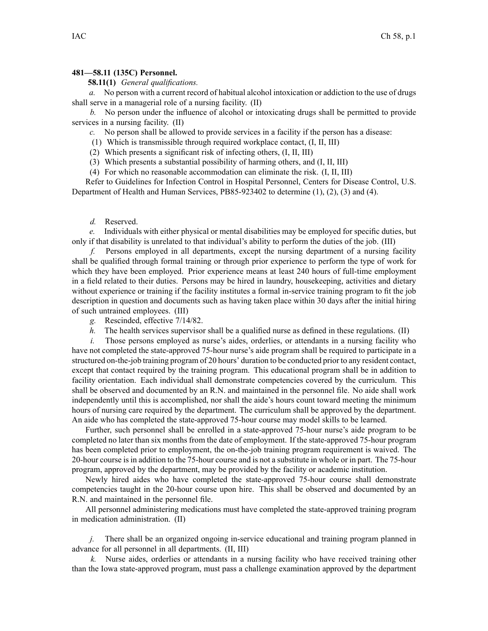## **481—58.11 (135C) Personnel.**

## **58.11(1)** *General qualifications.*

*a.* No person with <sup>a</sup> current record of habitual alcohol intoxication or addiction to the use of drugs shall serve in <sup>a</sup> managerial role of <sup>a</sup> nursing facility. (II)

*b.* No person under the influence of alcohol or intoxicating drugs shall be permitted to provide services in <sup>a</sup> nursing facility. (II)

*c.* No person shall be allowed to provide services in <sup>a</sup> facility if the person has <sup>a</sup> disease:

(1) Which is transmissible through required workplace contact, (I, II, III)

(2) Which presents <sup>a</sup> significant risk of infecting others, (I, II, III)

(3) Which presents <sup>a</sup> substantial possibility of harming others, and (I, II, III)

(4) For which no reasonable accommodation can eliminate the risk. (I, II, III)

Refer to Guidelines for Infection Control in Hospital Personnel, Centers for Disease Control, U.S. Department of Health and Human Services, PB85-923402 to determine (1), (2), (3) and (4).

## *d.* Reserved.

*e.* Individuals with either physical or mental disabilities may be employed for specific duties, but only if that disability is unrelated to that individual's ability to perform the duties of the job. (III)

*f.* Persons employed in all departments, excep<sup>t</sup> the nursing department of <sup>a</sup> nursing facility shall be qualified through formal training or through prior experience to perform the type of work for which they have been employed. Prior experience means at least 240 hours of full-time employment in <sup>a</sup> field related to their duties. Persons may be hired in laundry, housekeeping, activities and dietary without experience or training if the facility institutes <sup>a</sup> formal in-service training program to fit the job description in question and documents such as having taken place within 30 days after the initial hiring of such untrained employees. (III)

*g.* Rescinded, effective 7/14/82.

*h.* The health services supervisor shall be a qualified nurse as defined in these regulations. (II)

*i.* Those persons employed as nurse's aides, orderlies, or attendants in a nursing facility who have not completed the state-approved 75-hour nurse's aide program shall be required to participate in <sup>a</sup> structured on-the-job training program of 20 hours' duration to be conducted prior to any resident contact, excep<sup>t</sup> that contact required by the training program. This educational program shall be in addition to facility orientation. Each individual shall demonstrate competencies covered by the curriculum. This shall be observed and documented by an R.N. and maintained in the personnel file. No aide shall work independently until this is accomplished, nor shall the aide's hours count toward meeting the minimum hours of nursing care required by the department. The curriculum shall be approved by the department. An aide who has completed the state-approved 75-hour course may model skills to be learned.

Further, such personnel shall be enrolled in <sup>a</sup> state-approved 75-hour nurse's aide program to be completed no later than six months from the date of employment. If the state-approved 75-hour program has been completed prior to employment, the on-the-job training program requirement is waived. The 20-hour course isin addition to the 75-hour course and is not <sup>a</sup> substitute in whole or in part. The 75-hour program, approved by the department, may be provided by the facility or academic institution.

Newly hired aides who have completed the state-approved 75-hour course shall demonstrate competencies taught in the 20-hour course upon hire. This shall be observed and documented by an R.N. and maintained in the personnel file.

All personnel administering medications must have completed the state-approved training program in medication administration. (II)

*j.* There shall be an organized ongoing in-service educational and training program planned in advance for all personnel in all departments. (II, III)

*k.* Nurse aides, orderlies or attendants in <sup>a</sup> nursing facility who have received training other than the Iowa state-approved program, must pass <sup>a</sup> challenge examination approved by the department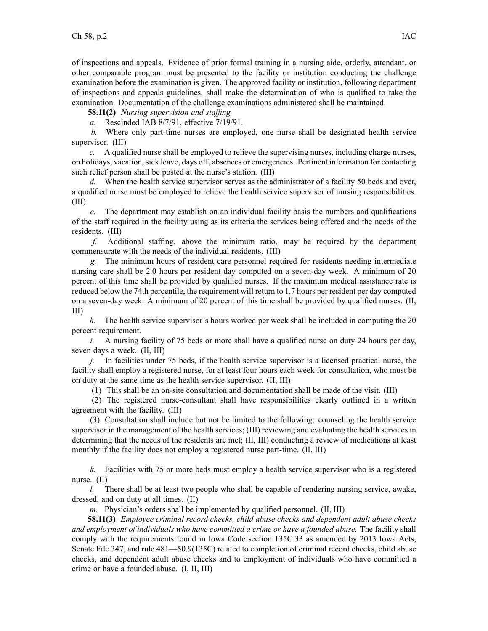of inspections and appeals. Evidence of prior formal training in <sup>a</sup> nursing aide, orderly, attendant, or other comparable program must be presented to the facility or institution conducting the challenge examination before the examination is given. The approved facility or institution, following department of inspections and appeals guidelines, shall make the determination of who is qualified to take the examination. Documentation of the challenge examinations administered shall be maintained.

**58.11(2)** *Nursing supervision and staffing.*

*a.* Rescinded IAB 8/7/91, effective 7/19/91.

*b.* Where only part-time nurses are employed, one nurse shall be designated health service supervisor. (III)

*c.* A qualified nurse shall be employed to relieve the supervising nurses, including charge nurses, on holidays, vacation, sick leave, days off, absences or emergencies. Pertinent information for contacting such relief person shall be posted at the nurse's station. (III)

*d.* When the health service supervisor serves as the administrator of <sup>a</sup> facility 50 beds and over, <sup>a</sup> qualified nurse must be employed to relieve the health service supervisor of nursing responsibilities. (III)

*e.* The department may establish on an individual facility basis the numbers and qualifications of the staff required in the facility using as its criteria the services being offered and the needs of the residents. (III)

*f.* Additional staffing, above the minimum ratio, may be required by the department commensurate with the needs of the individual residents. (III)

*g.* The minimum hours of resident care personnel required for residents needing intermediate nursing care shall be 2.0 hours per resident day computed on <sup>a</sup> seven-day week. A minimum of 20 percen<sup>t</sup> of this time shall be provided by qualified nurses. If the maximum medical assistance rate is reduced below the 74th percentile, the requirement will return to 1.7 hours per resident per day computed on <sup>a</sup> seven-day week. A minimum of 20 percen<sup>t</sup> of this time shall be provided by qualified nurses. (II, III)

*h.* The health service supervisor's hours worked per week shall be included in computing the 20 percen<sup>t</sup> requirement.

*i.* A nursing facility of 75 beds or more shall have <sup>a</sup> qualified nurse on duty 24 hours per day, seven days <sup>a</sup> week. (II, III)

*j.* In facilities under 75 beds, if the health service supervisor is <sup>a</sup> licensed practical nurse, the facility shall employ <sup>a</sup> registered nurse, for at least four hours each week for consultation, who must be on duty at the same time as the health service supervisor. (II, III)

(1) This shall be an on-site consultation and documentation shall be made of the visit. (III)

(2) The registered nurse-consultant shall have responsibilities clearly outlined in <sup>a</sup> written agreemen<sup>t</sup> with the facility. (III)

(3) Consultation shall include but not be limited to the following: counseling the health service supervisor in the managemen<sup>t</sup> of the health services; (III) reviewing and evaluating the health services in determining that the needs of the residents are met; (II, III) conducting <sup>a</sup> review of medications at least monthly if the facility does not employ <sup>a</sup> registered nurse part-time. (II, III)

*k.* Facilities with 75 or more beds must employ <sup>a</sup> health service supervisor who is <sup>a</sup> registered nurse. (II)

*l.* There shall be at least two people who shall be capable of rendering nursing service, awake, dressed, and on duty at all times. (II)

*m.* Physician's orders shall be implemented by qualified personnel. (II, III)

**58.11(3)** *Employee criminal record checks, child abuse checks and dependent adult abuse checks and employment of individuals who have committed <sup>a</sup> crime or have <sup>a</sup> founded abuse.* The facility shall comply with the requirements found in Iowa Code section 135C.33 as amended by 2013 Iowa Acts, Senate File 347, and rule 481—50.9(135C) related to completion of criminal record checks, child abuse checks, and dependent adult abuse checks and to employment of individuals who have committed <sup>a</sup> crime or have <sup>a</sup> founded abuse. (I, II, III)